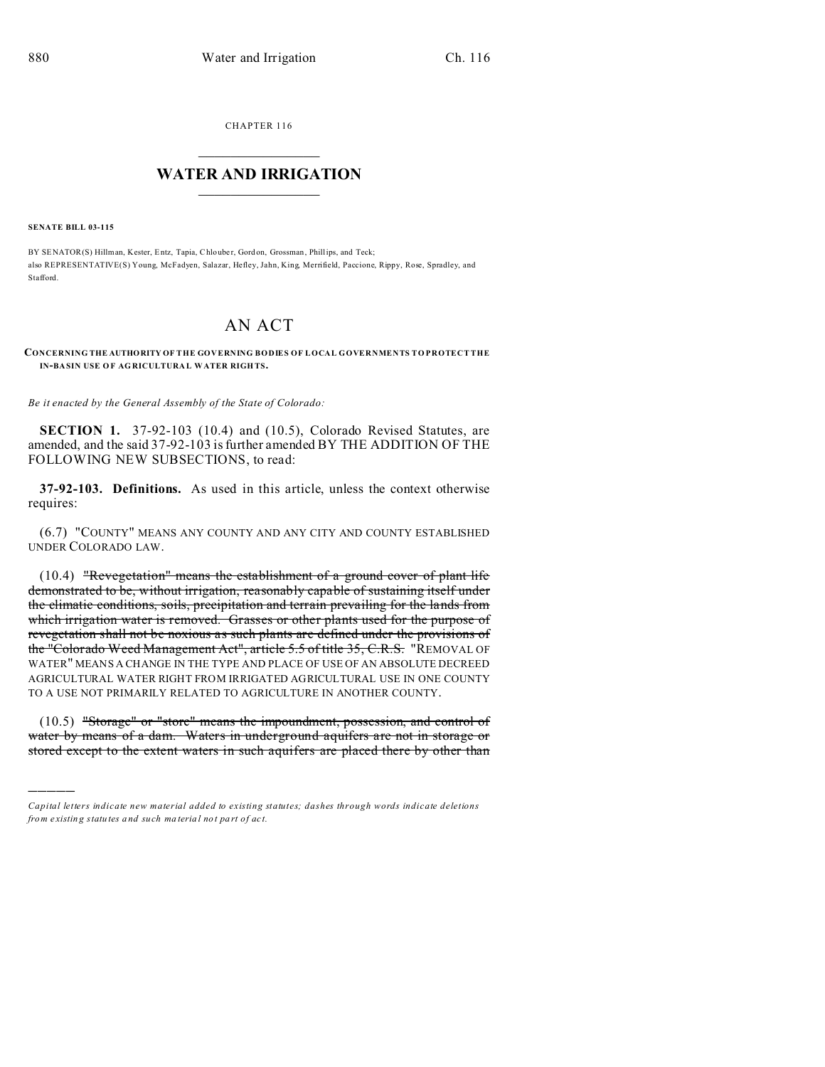CHAPTER 116  $\overline{\phantom{a}}$  , where  $\overline{\phantom{a}}$ 

## **WATER AND IRRIGATION**  $\_$   $\_$   $\_$   $\_$   $\_$   $\_$   $\_$   $\_$   $\_$

**SENATE BILL 03-115**

)))))

BY SENATOR(S) Hillman, Kester, Entz, Tapia, Chlouber, Gord on, Grossman, Phillips, and Teck; also REPRESENTATIVE(S) Young, McFadyen, Salazar, Hefley, Jahn, King, Merrifield, Paccione, Rippy, Rose, Spradley, and Stafford.

## AN ACT

**CONCERNING THE AUTHORITY OF THE GOVERNING BODIES OF LOCAL GOVERNMENTS TO PROTECT THE IN-BA SIN USE O F AG RICULTURA L WATER RIGH TS.**

*Be it enacted by the General Assembly of the State of Colorado:*

**SECTION 1.** 37-92-103 (10.4) and (10.5), Colorado Revised Statutes, are amended, and the said 37-92-103 is further amended BY THE ADDITION OF THE FOLLOWING NEW SUBSECTIONS, to read:

**37-92-103. Definitions.** As used in this article, unless the context otherwise requires:

(6.7) "COUNTY" MEANS ANY COUNTY AND ANY CITY AND COUNTY ESTABLISHED UNDER COLORADO LAW.

(10.4) "Revegetation" means the establishment of a ground cover of plant life demonstrated to be, without irrigation, reasonably capable of sustaining itself under the climatic conditions, soils, precipitation and terrain prevailing for the lands from which irrigation water is removed. Grasses or other plants used for the purpose of revegetation shall not be noxious as such plants are defined under the provisions of the "Colorado Weed Management Act", article 5.5 of title 35, C.R.S. "REMOVAL OF WATER" MEANS A CHANGE IN THE TYPE AND PLACE OF USE OF AN ABSOLUTE DECREED AGRICULTURAL WATER RIGHT FROM IRRIGATED AGRICULTURAL USE IN ONE COUNTY TO A USE NOT PRIMARILY RELATED TO AGRICULTURE IN ANOTHER COUNTY.

(10.5) "Storage" or "store" means the impoundment, possession, and control of water by means of a dam. Waters in underground aquifers are not in storage or stored except to the extent waters in such aquifers are placed there by other than

*Capital letters indicate new material added to existing statutes; dashes through words indicate deletions from e xistin g statu tes a nd such ma teria l no t pa rt of ac t.*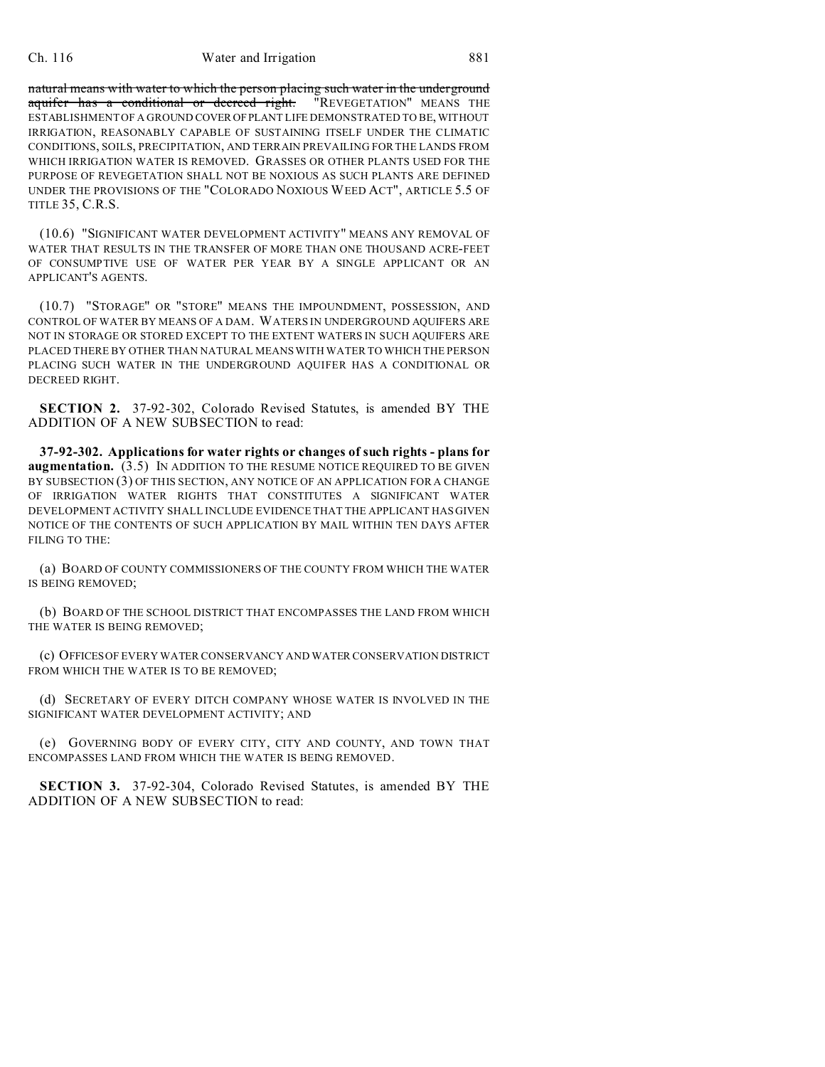## Ch. 116 Water and Irrigation 881

natural means with water to which the person placing such water in the underground aquifer has a conditional or decreed right. "REVEGETATION" MEANS THE ESTABLISHMENT OF A GROUND COVER OFPLANT LIFE DEMONSTRATED TO BE, WITHOUT IRRIGATION, REASONABLY CAPABLE OF SUSTAINING ITSELF UNDER THE CLIMATIC CONDITIONS, SOILS, PRECIPITATION, AND TERRAIN PREVAILING FOR THE LANDS FROM WHICH IRRIGATION WATER IS REMOVED. GRASSES OR OTHER PLANTS USED FOR THE PURPOSE OF REVEGETATION SHALL NOT BE NOXIOUS AS SUCH PLANTS ARE DEFINED UNDER THE PROVISIONS OF THE "COLORADO NOXIOUS WEED ACT", ARTICLE 5.5 OF TITLE 35, C.R.S.

(10.6) "SIGNIFICANT WATER DEVELOPMENT ACTIVITY" MEANS ANY REMOVAL OF WATER THAT RESULTS IN THE TRANSFER OF MORE THAN ONE THOUSAND ACRE-FEET OF CONSUMPTIVE USE OF WATER PER YEAR BY A SINGLE APPLICANT OR AN APPLICANT'S AGENTS.

(10.7) "STORAGE" OR "STORE" MEANS THE IMPOUNDMENT, POSSESSION, AND CONTROL OF WATER BY MEANS OF A DAM. WATERS IN UNDERGROUND AQUIFERS ARE NOT IN STORAGE OR STORED EXCEPT TO THE EXTENT WATERS IN SUCH AQUIFERS ARE PLACED THERE BY OTHER THAN NATURAL MEANS WITH WATER TO WHICH THE PERSON PLACING SUCH WATER IN THE UNDERGROUND AQUIFER HAS A CONDITIONAL OR DECREED RIGHT.

**SECTION 2.** 37-92-302, Colorado Revised Statutes, is amended BY THE ADDITION OF A NEW SUBSECTION to read:

**37-92-302. Applications for water rights or changes of such rights - plans for augmentation.** (3.5) IN ADDITION TO THE RESUME NOTICE REQUIRED TO BE GIVEN BY SUBSECTION (3) OF THIS SECTION, ANY NOTICE OF AN APPLICATION FOR A CHANGE OF IRRIGATION WATER RIGHTS THAT CONSTITUTES A SIGNIFICANT WATER DEVELOPMENT ACTIVITY SHALL INCLUDE EVIDENCE THAT THE APPLICANT HAS GIVEN NOTICE OF THE CONTENTS OF SUCH APPLICATION BY MAIL WITHIN TEN DAYS AFTER FILING TO THE:

(a) BOARD OF COUNTY COMMISSIONERS OF THE COUNTY FROM WHICH THE WATER IS BEING REMOVED;

(b) BOARD OF THE SCHOOL DISTRICT THAT ENCOMPASSES THE LAND FROM WHICH THE WATER IS BEING REMOVED;

(c) OFFICES OF EVERY WATER CONSERVANCY AND WATER CONSERVATION DISTRICT FROM WHICH THE WATER IS TO BE REMOVED;

(d) SECRETARY OF EVERY DITCH COMPANY WHOSE WATER IS INVOLVED IN THE SIGNIFICANT WATER DEVELOPMENT ACTIVITY; AND

(e) GOVERNING BODY OF EVERY CITY, CITY AND COUNTY, AND TOWN THAT ENCOMPASSES LAND FROM WHICH THE WATER IS BEING REMOVED.

**SECTION 3.** 37-92-304, Colorado Revised Statutes, is amended BY THE ADDITION OF A NEW SUBSECTION to read: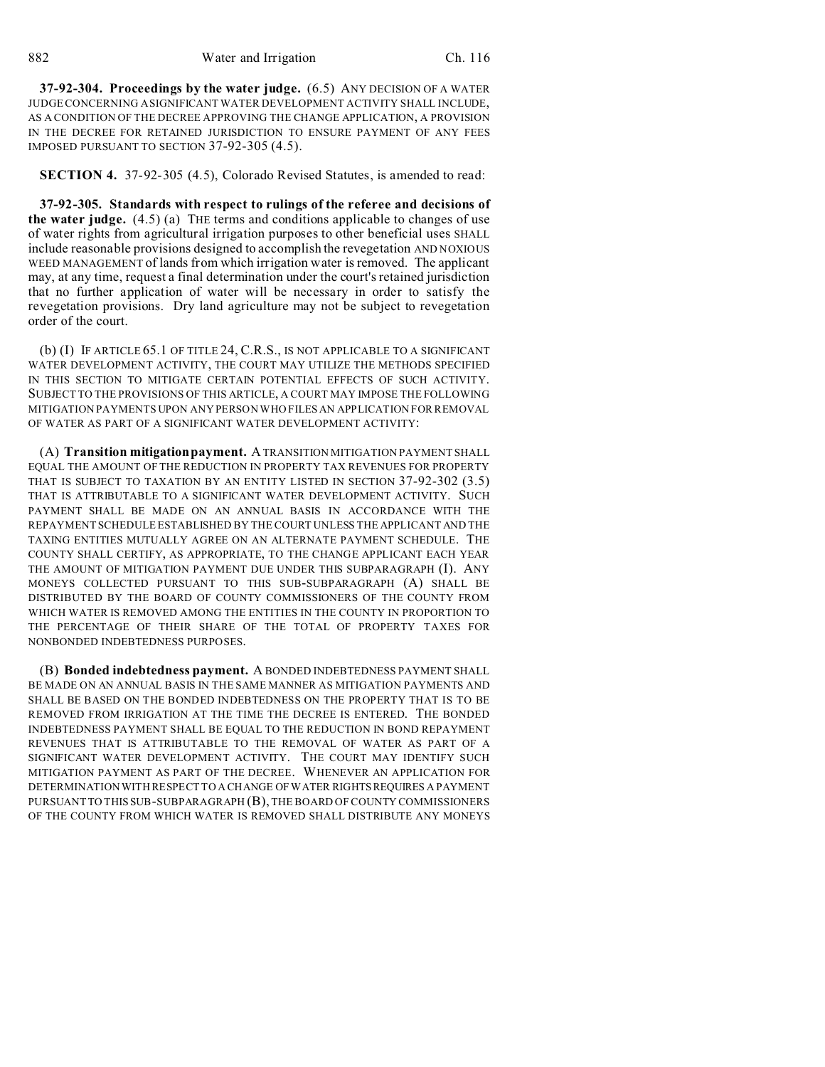**37-92-304. Proceedings by the water judge.** (6.5) ANY DECISION OF A WATER JUDGE CONCERNING A SIGNIFICANT WATER DEVELOPMENT ACTIVITY SHALL INCLUDE, AS A CONDITION OF THE DECREE APPROVING THE CHANGE APPLICATION, A PROVISION IN THE DECREE FOR RETAINED JURISDICTION TO ENSURE PAYMENT OF ANY FEES IMPOSED PURSUANT TO SECTION 37-92-305 (4.5).

**SECTION 4.** 37-92-305 (4.5), Colorado Revised Statutes, is amended to read:

**37-92-305. Standards with respect to rulings of the referee and decisions of the water judge.** (4.5) (a) THE terms and conditions applicable to changes of use of water rights from agricultural irrigation purposes to other beneficial uses SHALL include reasonable provisions designed to accomplish the revegetation AND NOXIOUS WEED MANAGEMENT of lands from which irrigation water is removed. The applicant may, at any time, request a final determination under the court's retained jurisdiction that no further application of water will be necessary in order to satisfy the revegetation provisions. Dry land agriculture may not be subject to revegetation order of the court.

(b) (I) IF ARTICLE 65.1 OF TITLE 24, C.R.S., IS NOT APPLICABLE TO A SIGNIFICANT WATER DEVELOPMENT ACTIVITY, THE COURT MAY UTILIZE THE METHODS SPECIFIED IN THIS SECTION TO MITIGATE CERTAIN POTENTIAL EFFECTS OF SUCH ACTIVITY. SUBJECT TO THE PROVISIONS OF THIS ARTICLE, A COURT MAY IMPOSE THE FOLLOWING MITIGATION PAYMENTS UPON ANY PERSON WHO FILES AN APPLICATION FOR REMOVAL OF WATER AS PART OF A SIGNIFICANT WATER DEVELOPMENT ACTIVITY:

(A) **Transition mitigation payment.** A TRANSITION MITIGATION PAYMENT SHALL EQUAL THE AMOUNT OF THE REDUCTION IN PROPERTY TAX REVENUES FOR PROPERTY THAT IS SUBJECT TO TAXATION BY AN ENTITY LISTED IN SECTION 37-92-302 (3.5) THAT IS ATTRIBUTABLE TO A SIGNIFICANT WATER DEVELOPMENT ACTIVITY. SUCH PAYMENT SHALL BE MADE ON AN ANNUAL BASIS IN ACCORDANCE WITH THE REPAYMENT SCHEDULE ESTABLISHED BY THE COURT UNLESS THE APPLICANT AND THE TAXING ENTITIES MUTUALLY AGREE ON AN ALTERNATE PAYMENT SCHEDULE. THE COUNTY SHALL CERTIFY, AS APPROPRIATE, TO THE CHANGE APPLICANT EACH YEAR THE AMOUNT OF MITIGATION PAYMENT DUE UNDER THIS SUBPARAGRAPH (I). ANY MONEYS COLLECTED PURSUANT TO THIS SUB-SUBPARAGRAPH (A) SHALL BE DISTRIBUTED BY THE BOARD OF COUNTY COMMISSIONERS OF THE COUNTY FROM WHICH WATER IS REMOVED AMONG THE ENTITIES IN THE COUNTY IN PROPORTION TO THE PERCENTAGE OF THEIR SHARE OF THE TOTAL OF PROPERTY TAXES FOR NONBONDED INDEBTEDNESS PURPOSES.

(B) **Bonded indebtedness payment.** A BONDED INDEBTEDNESS PAYMENT SHALL BE MADE ON AN ANNUAL BASIS IN THE SAME MANNER AS MITIGATION PAYMENTS AND SHALL BE BASED ON THE BONDED INDEBTEDNESS ON THE PROPERTY THAT IS TO BE REMOVED FROM IRRIGATION AT THE TIME THE DECREE IS ENTERED. THE BONDED INDEBTEDNESS PAYMENT SHALL BE EQUAL TO THE REDUCTION IN BOND REPAYMENT REVENUES THAT IS ATTRIBUTABLE TO THE REMOVAL OF WATER AS PART OF A SIGNIFICANT WATER DEVELOPMENT ACTIVITY. THE COURT MAY IDENTIFY SUCH MITIGATION PAYMENT AS PART OF THE DECREE. WHENEVER AN APPLICATION FOR DETERMINATION WITH RESPECT TO A CHANGE OF WATER RIGHTSREQUIRES A PAYMENT PURSUANT TO THIS SUB-SUBPARAGRAPH (B), THE BOARD OF COUNTY COMMISSIONERS OF THE COUNTY FROM WHICH WATER IS REMOVED SHALL DISTRIBUTE ANY MONEYS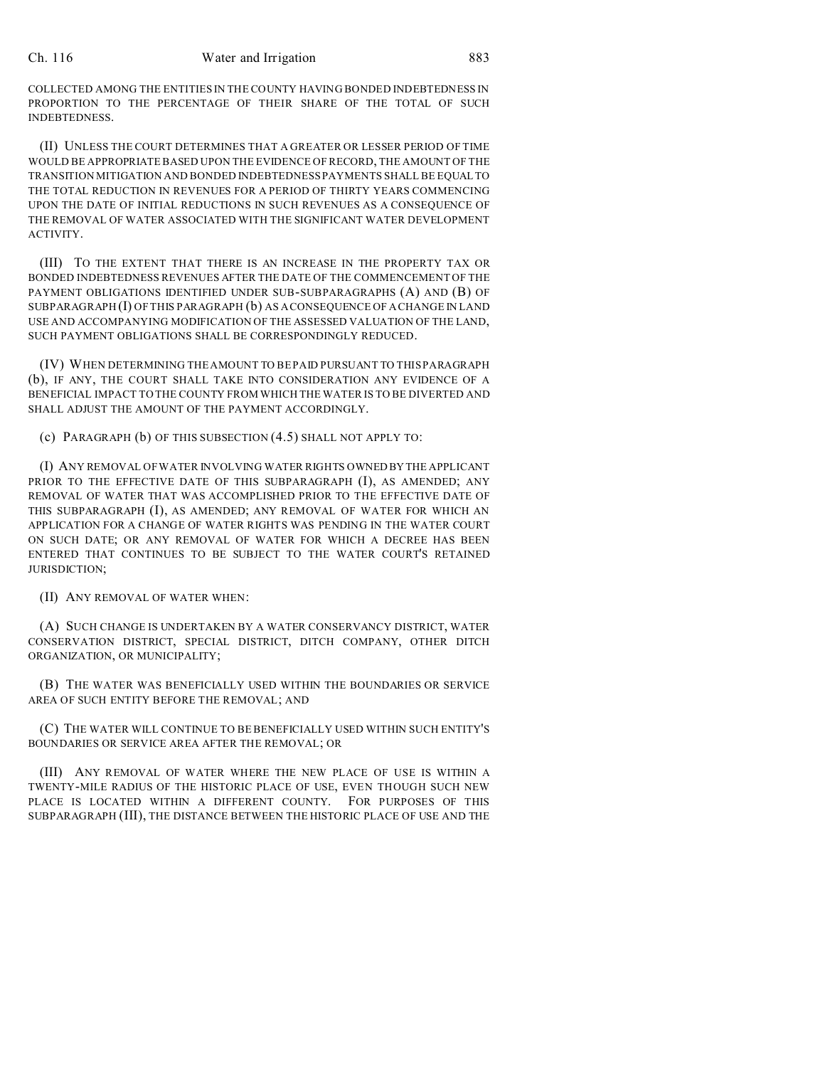COLLECTED AMONG THE ENTITIES IN THE COUNTY HAVING BONDED INDEBTEDNESS IN PROPORTION TO THE PERCENTAGE OF THEIR SHARE OF THE TOTAL OF SUCH INDEBTEDNESS.

(II) UNLESS THE COURT DETERMINES THAT A GREATER OR LESSER PERIOD OF TIME WOULD BE APPROPRIATE BASED UPON THE EVIDENCE OF RECORD, THE AMOUNT OF THE TRANSITION MITIGATION AND BONDED INDEBTEDNESS PAYMENTS SHALL BE EQUAL TO THE TOTAL REDUCTION IN REVENUES FOR A PERIOD OF THIRTY YEARS COMMENCING UPON THE DATE OF INITIAL REDUCTIONS IN SUCH REVENUES AS A CONSEQUENCE OF THE REMOVAL OF WATER ASSOCIATED WITH THE SIGNIFICANT WATER DEVELOPMENT ACTIVITY.

(III) TO THE EXTENT THAT THERE IS AN INCREASE IN THE PROPERTY TAX OR BONDED INDEBTEDNESS REVENUES AFTER THE DATE OF THE COMMENCEMENT OF THE PAYMENT OBLIGATIONS IDENTIFIED UNDER SUB-SUBPARAGRAPHS (A) AND (B) OF SUBPARAGRAPH (I) OF THIS PARAGRAPH (b) AS A CONSEQUENCE OF A CHANGE IN LAND USE AND ACCOMPANYING MODIFICATION OF THE ASSESSED VALUATION OF THE LAND, SUCH PAYMENT OBLIGATIONS SHALL BE CORRESPONDINGLY REDUCED.

(IV) WHEN DETERMINING THE AMOUNT TO BE PAID PURSUANT TO THIS PARAGRAPH (b), IF ANY, THE COURT SHALL TAKE INTO CONSIDERATION ANY EVIDENCE OF A BENEFICIAL IMPACT TO THE COUNTY FROM WHICH THE WATER IS TO BE DIVERTED AND SHALL ADJUST THE AMOUNT OF THE PAYMENT ACCORDINGLY.

(c) PARAGRAPH (b) OF THIS SUBSECTION (4.5) SHALL NOT APPLY TO:

(I) ANY REMOVAL OF WATER INVOLVING WATER RIGHTS OWNED BY THE APPLICANT PRIOR TO THE EFFECTIVE DATE OF THIS SUBPARAGRAPH (I), AS AMENDED; ANY REMOVAL OF WATER THAT WAS ACCOMPLISHED PRIOR TO THE EFFECTIVE DATE OF THIS SUBPARAGRAPH (I), AS AMENDED; ANY REMOVAL OF WATER FOR WHICH AN APPLICATION FOR A CHANGE OF WATER RIGHTS WAS PENDING IN THE WATER COURT ON SUCH DATE; OR ANY REMOVAL OF WATER FOR WHICH A DECREE HAS BEEN ENTERED THAT CONTINUES TO BE SUBJECT TO THE WATER COURT'S RETAINED JURISDICTION;

(II) ANY REMOVAL OF WATER WHEN:

(A) SUCH CHANGE IS UNDERTAKEN BY A WATER CONSERVANCY DISTRICT, WATER CONSERVATION DISTRICT, SPECIAL DISTRICT, DITCH COMPANY, OTHER DITCH ORGANIZATION, OR MUNICIPALITY;

(B) THE WATER WAS BENEFICIALLY USED WITHIN THE BOUNDARIES OR SERVICE AREA OF SUCH ENTITY BEFORE THE REMOVAL; AND

(C) THE WATER WILL CONTINUE TO BE BENEFICIALLY USED WITHIN SUCH ENTITY'S BOUNDARIES OR SERVICE AREA AFTER THE REMOVAL; OR

(III) ANY REMOVAL OF WATER WHERE THE NEW PLACE OF USE IS WITHIN A TWENTY-MILE RADIUS OF THE HISTORIC PLACE OF USE, EVEN THOUGH SUCH NEW PLACE IS LOCATED WITHIN A DIFFERENT COUNTY. FOR PURPOSES OF THIS SUBPARAGRAPH (III), THE DISTANCE BETWEEN THE HISTORIC PLACE OF USE AND THE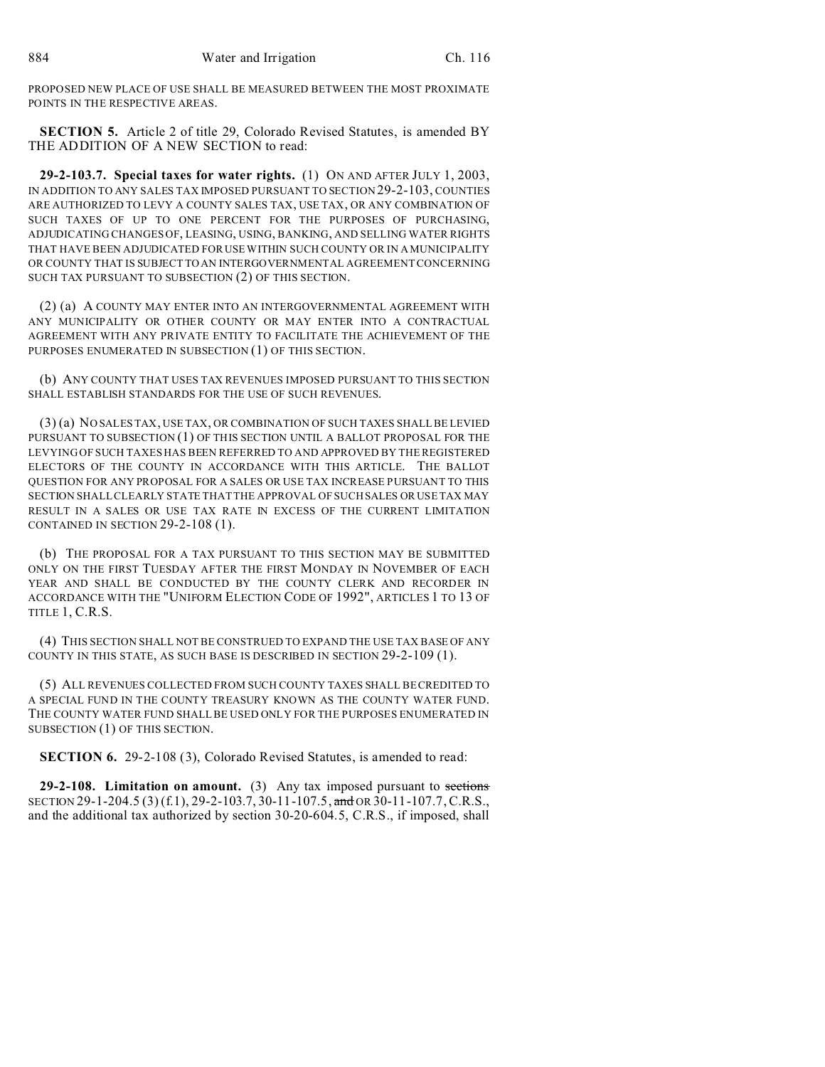PROPOSED NEW PLACE OF USE SHALL BE MEASURED BETWEEN THE MOST PROXIMATE POINTS IN THE RESPECTIVE AREAS.

**SECTION 5.** Article 2 of title 29, Colorado Revised Statutes, is amended BY THE ADDITION OF A NEW SECTION to read:

**29-2-103.7. Special taxes for water rights.** (1) ON AND AFTER JULY 1, 2003, IN ADDITION TO ANY SALES TAX IMPOSED PURSUANT TO SECTION 29-2-103, COUNTIES ARE AUTHORIZED TO LEVY A COUNTY SALES TAX, USE TAX, OR ANY COMBINATION OF SUCH TAXES OF UP TO ONE PERCENT FOR THE PURPOSES OF PURCHASING, ADJUDICATING CHANGES OF, LEASING, USING, BANKING, AND SELLING WATER RIGHTS THAT HAVE BEEN ADJUDICATED FOR USE WITHIN SUCH COUNTY OR IN A MUNICIPALITY OR COUNTY THAT IS SUBJECT TO AN INTERGOVERNMENTAL AGREEMENT CONCERNING SUCH TAX PURSUANT TO SUBSECTION (2) OF THIS SECTION.

(2) (a) A COUNTY MAY ENTER INTO AN INTERGOVERNMENTAL AGREEMENT WITH ANY MUNICIPALITY OR OTHER COUNTY OR MAY ENTER INTO A CONTRACTUAL AGREEMENT WITH ANY PRIVATE ENTITY TO FACILITATE THE ACHIEVEMENT OF THE PURPOSES ENUMERATED IN SUBSECTION (1) OF THIS SECTION.

(b) ANY COUNTY THAT USES TAX REVENUES IMPOSED PURSUANT TO THIS SECTION SHALL ESTABLISH STANDARDS FOR THE USE OF SUCH REVENUES.

(3) (a) NO SALES TAX, USE TAX, OR COMBINATION OF SUCH TAXES SHALL BE LEVIED PURSUANT TO SUBSECTION (1) OF THIS SECTION UNTIL A BALLOT PROPOSAL FOR THE LEVYING OF SUCH TAXES HAS BEEN REFERRED TO AND APPROVED BY THE REGISTERED ELECTORS OF THE COUNTY IN ACCORDANCE WITH THIS ARTICLE. THE BALLOT QUESTION FOR ANY PROPOSAL FOR A SALES OR USE TAX INCREASE PURSUANT TO THIS SECTION SHALL CLEARLY STATE THAT THE APPROVAL OF SUCH SALES OR USE TAX MAY RESULT IN A SALES OR USE TAX RATE IN EXCESS OF THE CURRENT LIMITATION CONTAINED IN SECTION 29-2-108 (1).

(b) THE PROPOSAL FOR A TAX PURSUANT TO THIS SECTION MAY BE SUBMITTED ONLY ON THE FIRST TUESDAY AFTER THE FIRST MONDAY IN NOVEMBER OF EACH YEAR AND SHALL BE CONDUCTED BY THE COUNTY CLERK AND RECORDER IN ACCORDANCE WITH THE "UNIFORM ELECTION CODE OF 1992", ARTICLES 1 TO 13 OF TITLE 1, C.R.S.

(4) THIS SECTION SHALL NOT BE CONSTRUED TO EXPAND THE USE TAX BASE OF ANY COUNTY IN THIS STATE, AS SUCH BASE IS DESCRIBED IN SECTION 29-2-109 (1).

(5) ALL REVENUES COLLECTED FROM SUCH COUNTY TAXES SHALL BE CREDITED TO A SPECIAL FUND IN THE COUNTY TREASURY KNOWN AS THE COUNTY WATER FUND. THE COUNTY WATER FUND SHALL BE USED ONLY FOR THE PURPOSES ENUMERATED IN SUBSECTION (1) OF THIS SECTION.

**SECTION 6.** 29-2-108 (3), Colorado Revised Statutes, is amended to read:

**29-2-108. Limitation on amount.** (3) Any tax imposed pursuant to sections SECTION 29-1-204.5 (3) (f.1), 29-2-103.7, 30-11-107.5, and OR 30-11-107.7, C.R.S., and the additional tax authorized by section 30-20-604.5, C.R.S., if imposed, shall